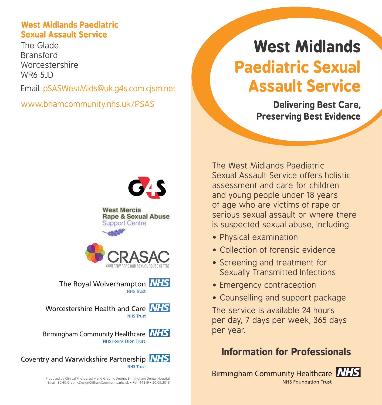#### **West Midlands Paediatric Sexual Assault Service**

The Glade Bransford Worcestershire WR6 5JD

Email: pSASWestMids@uk.g4s.com.cjsm.net

www.bhamcommunity.nhs.uk/PSAS

# **West Midlands Paediatric Sexual Assault Service**

**Delivering Best Care, Preserving Best Evidence**



**West Mercia Rape & Sexual Abuse Support Centre** 



The Royal Wolverhampton **NHS NHS Trust** 

Worcestershire Health and Care NHS **NHS Trust** 

Birmingham Community Healthcare **NHS** NHS Foundation Trust

Coventry and Warwickshire Partnership NHS **NHS Trust** 

> Produced by Clinical Photography and Graphic Design, Birmingham Dental Hospital Email: BCHC.GraphicDesign@BhamCommunity.nhs.uk • Ref: 44819 • 20.09.2016

The West Midlands Paediatric Sexual Assault Service offers holistic assessment and care for children and young people under 18 years of age who are victims of rape or serious sexual assault or where there is suspected sexual abuse, including:

- Physical examination
- Collection of forensic evidence
- Screening and treatment for Sexually Transmitted Infections
- Emergency contraception
- Counselling and support package

The service is available 24 hours per day, 7 days per week, 365 days per year.

# **Information for Professionals**

Birmingham Community Healthcare **NHS NHS Foundation Trust** 

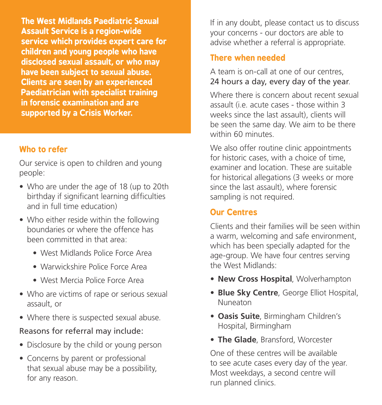**The West Midlands Paediatric Sexual Assault Service is a region-wide service which provides expert care for children and young people who have disclosed sexual assault, or who may have been subject to sexual abuse. Clients are seen by an experienced Paediatrician with specialist training in forensic examination and are supported by a Crisis Worker.** 

#### **Who to refer**

Our service is open to children and young people:

- Who are under the age of 18 (up to 20th birthday if significant learning difficulties and in full time education)
- Who either reside within the following boundaries or where the offence has been committed in that area:
	- West Midlands Police Force Area
	- Warwickshire Police Force Area
	- West Mercia Police Force Area
- Who are victims of rape or serious sexual assault, or
- Where there is suspected sexual abuse.

#### Reasons for referral may include:

- Disclosure by the child or young person
- Concerns by parent or professional that sexual abuse may be a possibility, for any reason.

If in any doubt, please contact us to discuss your concerns - our doctors are able to advise whether a referral is appropriate.

## **There when needed**

A team is on-call at one of our centres, 24 hours a day, every day of the year.

Where there is concern about recent sexual assault (i.e. acute cases - those within 3 weeks since the last assault), clients will be seen the same day. We aim to be there within 60 minutes

We also offer routine clinic appointments for historic cases, with a choice of time, examiner and location. These are suitable for historical allegations (3 weeks or more since the last assault), where forensic sampling is not required.

# **Our Centres**

Clients and their families will be seen within a warm, welcoming and safe environment, which has been specially adapted for the age-group. We have four centres serving the West Midlands:

- **• New Cross Hospital**, Wolverhampton
- **• Blue Sky Centre**, George Elliot Hospital, Nuneaton
- **• Oasis Suite**, Birmingham Children's Hospital, Birmingham
- **• The Glade**, Bransford, Worcester

One of these centres will be available to see acute cases every day of the year. Most weekdays, a second centre will run planned clinics.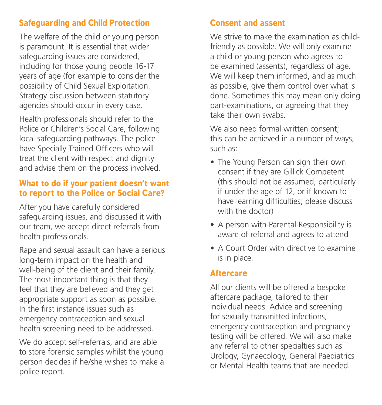# **Safeguarding and Child Protection**

The welfare of the child or young person is paramount. It is essential that wider safeguarding issues are considered, including for those young people 16-17 years of age (for example to consider the possibility of Child Sexual Exploitation. Strategy discussion between statutory agencies should occur in every case.

Health professionals should refer to the Police or Children's Social Care, following local safeguarding pathways. The police have Specially Trained Officers who will treat the client with respect and dignity and advise them on the process involved.

#### **What to do if your patient doesn't want to report to the Police or Social Care?**

After you have carefully considered safeguarding issues, and discussed it with our team, we accept direct referrals from health professionals.

Rape and sexual assault can have a serious long-term impact on the health and well-being of the client and their family. The most important thing is that they feel that they are believed and they get appropriate support as soon as possible. In the first instance issues such as emergency contraception and sexual health screening need to be addressed.

We do accept self-referrals, and are able to store forensic samples whilst the young person decides if he/she wishes to make a police report.

### **Consent and assent**

We strive to make the examination as childfriendly as possible. We will only examine a child or young person who agrees to be examined (assents), regardless of age. We will keep them informed, and as much as possible, give them control over what is done. Sometimes this may mean only doing part-examinations, or agreeing that they take their own swabs.

We also need formal written consent: this can be achieved in a number of ways, such as:

- The Young Person can sign their own consent if they are Gillick Competent (this should not be assumed, particularly if under the age of 12, or if known to have learning difficulties; please discuss with the doctor)
- A person with Parental Responsibility is aware of referral and agrees to attend
- A Court Order with directive to examine is in place.

#### **Aftercare**

All our clients will be offered a bespoke aftercare package, tailored to their individual needs. Advice and screening for sexually transmitted infections, emergency contraception and pregnancy testing will be offered. We will also make any referral to other specialties such as Urology, Gynaecology, General Paediatrics or Mental Health teams that are needed.